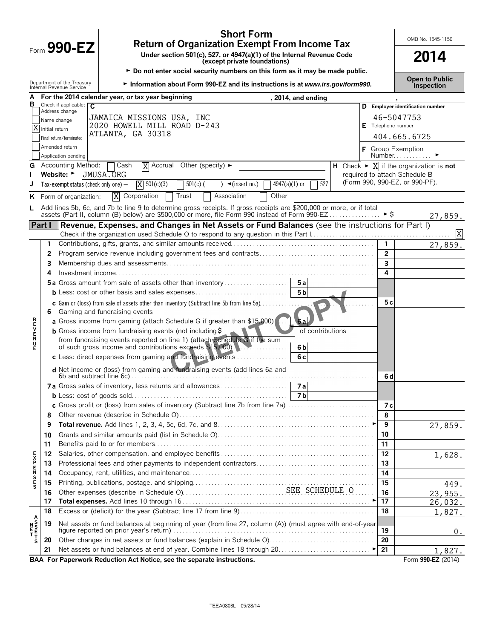|                                                                                                                          |                |                                                        | <b>Short Form</b><br><b>Return of Organization Exempt From Income Tax</b>                                                                                                                                                    |  |  |                | OMB No. 1545-1150                                                            |  |
|--------------------------------------------------------------------------------------------------------------------------|----------------|--------------------------------------------------------|------------------------------------------------------------------------------------------------------------------------------------------------------------------------------------------------------------------------------|--|--|----------------|------------------------------------------------------------------------------|--|
| Form $990 - EZ$<br>Under section 501(c), 527, or 4947(a)(1) of the Internal Revenue Code<br>(except private foundations) |                |                                                        |                                                                                                                                                                                                                              |  |  | 2014           |                                                                              |  |
|                                                                                                                          |                |                                                        | Do not enter social security numbers on this form as it may be made public.                                                                                                                                                  |  |  |                |                                                                              |  |
|                                                                                                                          |                | Department of the Treasury<br>Internal Revenue Service | Information about Form 990-EZ and its instructions is at www.irs.gov/form990.                                                                                                                                                |  |  |                | <b>Open to Public</b><br>Inspection                                          |  |
| A                                                                                                                        |                |                                                        | For the 2014 calendar year, or tax year beginning<br>, 2014, and ending                                                                                                                                                      |  |  |                |                                                                              |  |
| в                                                                                                                        |                | Check if applicable: $\overline{C}$<br>Address change  |                                                                                                                                                                                                                              |  |  |                | D Employer identification number                                             |  |
|                                                                                                                          |                | Name change                                            | JAMAICA MISSIONS USA, INC                                                                                                                                                                                                    |  |  |                | 46-5047753                                                                   |  |
|                                                                                                                          | Initial return |                                                        | 2020 HOWELL MILL ROAD D-243                                                                                                                                                                                                  |  |  |                | Telephone number                                                             |  |
|                                                                                                                          |                | Final return/terminated                                | ATLANTA, GA 30318                                                                                                                                                                                                            |  |  |                | 404.665.6725                                                                 |  |
|                                                                                                                          |                | Amended return                                         |                                                                                                                                                                                                                              |  |  |                | F Group Exemption                                                            |  |
|                                                                                                                          |                | Application pending                                    |                                                                                                                                                                                                                              |  |  |                | Number $\ldots$ $\blacktriangleright$                                        |  |
| G                                                                                                                        |                | <b>Accounting Method:</b>                              | $\overline{X}$ Accrual Other (specify) $\blacktriangleright$<br>Cash                                                                                                                                                         |  |  |                | H Check $\blacktriangleright \overline{X}$ if the organization is <b>not</b> |  |
|                                                                                                                          |                | Website: ►                                             | JMUSA.ORG                                                                                                                                                                                                                    |  |  |                | required to attach Schedule B                                                |  |
|                                                                                                                          |                | Tax-exempt status (check only one) $-$                 | $\overline{X}$ 501(c)(3)<br>527<br>$501(c)$ (<br>$4947(a)(1)$ or<br>) $\blacktriangleleft$ (insert no.)                                                                                                                      |  |  |                | (Form 990, 990-EZ, or 990-PF).                                               |  |
| ĸ                                                                                                                        |                | Form of organization:                                  | Χ<br>Corporation<br>Trust<br>Association<br>Other                                                                                                                                                                            |  |  |                |                                                                              |  |
|                                                                                                                          |                |                                                        | Add lines 5b, 6c, and 7b to line 9 to determine gross receipts. If gross receipts are \$200,000 or more, or if total<br>assets (Part II, column (B) below) are \$500,000 or more, file Form 990 instead of Form 990 EZ  ▶ \$ |  |  |                | 27,859.                                                                      |  |
|                                                                                                                          |                |                                                        | Part I Revenue, Expenses, and Changes in Net Assets or Fund Balances (see the instructions for Part I)                                                                                                                       |  |  |                | $\boldsymbol{\mathrm{X}}$                                                    |  |
|                                                                                                                          | 1              |                                                        |                                                                                                                                                                                                                              |  |  | $\mathbf{1}$   |                                                                              |  |
|                                                                                                                          | 2              |                                                        |                                                                                                                                                                                                                              |  |  | $\overline{2}$ | 27,859.                                                                      |  |
|                                                                                                                          | 3              |                                                        |                                                                                                                                                                                                                              |  |  | $\overline{3}$ |                                                                              |  |
|                                                                                                                          | 4              |                                                        |                                                                                                                                                                                                                              |  |  | 4              |                                                                              |  |
|                                                                                                                          |                |                                                        | 5a Gross amount from sale of assets other than inventory<br>5a                                                                                                                                                               |  |  |                |                                                                              |  |
|                                                                                                                          |                |                                                        | 5 <sub>b</sub><br><b>b</b> Less: cost or other basis and sales expenses                                                                                                                                                      |  |  |                |                                                                              |  |
|                                                                                                                          |                |                                                        | <b>c</b> Gain or (loss) from sale of assets other than inventory (Subtract line 5b from line 5a) $\ldots$                                                                                                                    |  |  | 5 c            |                                                                              |  |
|                                                                                                                          | 6.             |                                                        | Gaming and fundraising events                                                                                                                                                                                                |  |  |                |                                                                              |  |
|                                                                                                                          |                |                                                        | a Gross income from gaming (attach Schedule G if greater than \$15,000)                                                                                                                                                      |  |  |                |                                                                              |  |
| ロマドヘアス                                                                                                                   |                |                                                        | <b>b</b> Gross income from fundraising events (not including $\frac{1}{2}$<br>of contributions                                                                                                                               |  |  |                |                                                                              |  |
|                                                                                                                          |                |                                                        | from fundraising events reported on line 1) (attach Schedule G if the sum                                                                                                                                                    |  |  |                |                                                                              |  |
| Ē                                                                                                                        |                |                                                        | of such gross income and contributions exceeds \$15,000).<br>6 <sub>b</sub>                                                                                                                                                  |  |  |                |                                                                              |  |
|                                                                                                                          |                |                                                        | c Less: direct expenses from gaming and fundraising events<br>6c                                                                                                                                                             |  |  |                |                                                                              |  |
|                                                                                                                          |                |                                                        | d Net income or (loss) from gaming and fundraising events (add lines 6a and                                                                                                                                                  |  |  |                |                                                                              |  |
|                                                                                                                          |                |                                                        |                                                                                                                                                                                                                              |  |  | 6 d            |                                                                              |  |
|                                                                                                                          |                |                                                        | 7a Gross sales of inventory, less returns and allowances<br>7a                                                                                                                                                               |  |  |                |                                                                              |  |
|                                                                                                                          |                |                                                        |                                                                                                                                                                                                                              |  |  |                |                                                                              |  |
|                                                                                                                          |                |                                                        | c Gross profit or (loss) from sales of inventory (Subtract line 7b from line 7a)                                                                                                                                             |  |  | 7 с            |                                                                              |  |
|                                                                                                                          | 8              |                                                        |                                                                                                                                                                                                                              |  |  | 8              |                                                                              |  |
|                                                                                                                          | 9              |                                                        |                                                                                                                                                                                                                              |  |  | 9              | 27,859.                                                                      |  |
|                                                                                                                          | 10             |                                                        |                                                                                                                                                                                                                              |  |  | 10             |                                                                              |  |
|                                                                                                                          | 11             |                                                        |                                                                                                                                                                                                                              |  |  | 11             |                                                                              |  |
|                                                                                                                          | 12             |                                                        |                                                                                                                                                                                                                              |  |  | 12<br>13       | 1,628.                                                                       |  |
|                                                                                                                          | 13             |                                                        |                                                                                                                                                                                                                              |  |  | 14             |                                                                              |  |
| <b>EXPENSES</b>                                                                                                          | 14<br>15       |                                                        |                                                                                                                                                                                                                              |  |  | 15             |                                                                              |  |
|                                                                                                                          | 16             |                                                        |                                                                                                                                                                                                                              |  |  | 16             | 449.                                                                         |  |
|                                                                                                                          | 17             |                                                        |                                                                                                                                                                                                                              |  |  | 17             | 23,955.<br>26,032.                                                           |  |
|                                                                                                                          | 18             |                                                        |                                                                                                                                                                                                                              |  |  | 18             | 1,827.                                                                       |  |
|                                                                                                                          |                |                                                        |                                                                                                                                                                                                                              |  |  |                |                                                                              |  |
|                                                                                                                          | 19             |                                                        | Net assets or fund balances at beginning of year (from line 27, column (A)) (must agree with end-of-year                                                                                                                     |  |  | 19             | 0.                                                                           |  |
| s                                                                                                                        | 20             |                                                        | Other changes in net assets or fund balances (explain in Schedule O)                                                                                                                                                         |  |  | 20             |                                                                              |  |
|                                                                                                                          | 21             |                                                        |                                                                                                                                                                                                                              |  |  | 21             | 1,827.                                                                       |  |
|                                                                                                                          |                |                                                        | BAA For Paperwork Reduction Act Notice, see the separate instructions.                                                                                                                                                       |  |  |                | Form 990-EZ (2014)                                                           |  |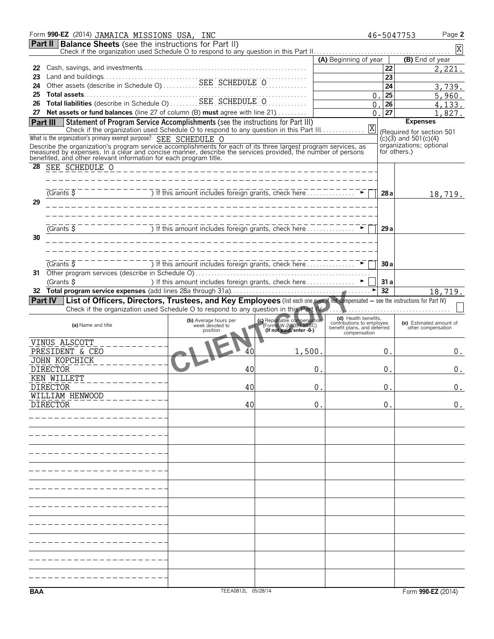|     | Form 990-EZ (2014) JAMAICA MISSIONS USA, INC                                                                                                                                                                                         |                                                                                                                      |                                                                                  |                                                                                  |                    | Page 2<br>46-5047753                                   |
|-----|--------------------------------------------------------------------------------------------------------------------------------------------------------------------------------------------------------------------------------------|----------------------------------------------------------------------------------------------------------------------|----------------------------------------------------------------------------------|----------------------------------------------------------------------------------|--------------------|--------------------------------------------------------|
|     | <b>Part II Balance Sheets</b> (see the instructions for Part II)                                                                                                                                                                     |                                                                                                                      |                                                                                  |                                                                                  |                    | $\mathbf X$                                            |
|     |                                                                                                                                                                                                                                      |                                                                                                                      |                                                                                  | (A) Beginning of year                                                            |                    | (B) End of year                                        |
| 22  |                                                                                                                                                                                                                                      |                                                                                                                      |                                                                                  |                                                                                  | 22                 | 2,221.                                                 |
| 23  |                                                                                                                                                                                                                                      |                                                                                                                      |                                                                                  |                                                                                  | 23                 |                                                        |
| 24  |                                                                                                                                                                                                                                      |                                                                                                                      |                                                                                  |                                                                                  | 24                 | 3,739.                                                 |
| 25  | Total assets<br>Total liabilities (describe in Schedule O)<br>SEE SCHEDULE O                                                                                                                                                         |                                                                                                                      |                                                                                  | 0                                                                                | 25                 | 5,960.                                                 |
| 26  |                                                                                                                                                                                                                                      |                                                                                                                      |                                                                                  | 0                                                                                | 26                 | 4,133.                                                 |
| 27  | Net assets or fund balances (line 27 of column (B) must agree with line 21)                                                                                                                                                          |                                                                                                                      |                                                                                  | $\Omega$                                                                         | 27                 | 1,827.                                                 |
|     | Statement of Program Service Accomplishments (see the instructions for Part III)<br>Part III<br>Check if the organization used Schedule O to respond to any question in this Part III.                                               |                                                                                                                      |                                                                                  | Χ                                                                                |                    | <b>Expenses</b>                                        |
|     | What is the organization's primary exempt purpose? SEE SCHEDULE O                                                                                                                                                                    |                                                                                                                      |                                                                                  |                                                                                  |                    | (Required for section 501<br>$(c)(3)$ and 501 $(c)(4)$ |
|     |                                                                                                                                                                                                                                      |                                                                                                                      |                                                                                  |                                                                                  |                    | organizations; optional                                |
|     | Describe the organization's program service accomplishments for each of its three largest program services, as<br>measured by expenses. In a clear and concise manner, describe the services provided, the number of persons<br>bene |                                                                                                                      |                                                                                  |                                                                                  | for others.)       |                                                        |
| 28  | SEE SCHEDULE O                                                                                                                                                                                                                       |                                                                                                                      |                                                                                  |                                                                                  |                    |                                                        |
|     |                                                                                                                                                                                                                                      | <u> 1999 - Paul Laurent, paul Laurent, paul Laurent, paul Laurent, paul Laurent, paul Laurent, paul Laurent, pau</u> |                                                                                  |                                                                                  |                    |                                                        |
|     |                                                                                                                                                                                                                                      |                                                                                                                      |                                                                                  |                                                                                  |                    |                                                        |
|     | (Grants $\overline{S}$                                                                                                                                                                                                               | ) If this amount includes foreign grants, check here $\ldots \ldots \ldots \ldots$                                   |                                                                                  |                                                                                  | 28 a               | 18,719.                                                |
| 29  |                                                                                                                                                                                                                                      |                                                                                                                      |                                                                                  |                                                                                  |                    |                                                        |
|     |                                                                                                                                                                                                                                      |                                                                                                                      |                                                                                  |                                                                                  |                    |                                                        |
|     |                                                                                                                                                                                                                                      | ) If this amount includes foreign grants, check here                                                                 |                                                                                  |                                                                                  |                    |                                                        |
|     | (Grants \$                                                                                                                                                                                                                           |                                                                                                                      |                                                                                  |                                                                                  | 29a                |                                                        |
| 30  |                                                                                                                                                                                                                                      |                                                                                                                      |                                                                                  |                                                                                  |                    |                                                        |
|     |                                                                                                                                                                                                                                      |                                                                                                                      |                                                                                  |                                                                                  |                    |                                                        |
|     | $\overline{G}$ Cants $\overline{S}$                                                                                                                                                                                                  | ) If this amount includes foreign grants, check here $\ldots \ldots \ldots$                                          |                                                                                  |                                                                                  | 30a                |                                                        |
| 31  |                                                                                                                                                                                                                                      |                                                                                                                      |                                                                                  |                                                                                  |                    |                                                        |
|     | (Grants \$                                                                                                                                                                                                                           | ) If this amount includes foreign grants, check here  ▶                                                              |                                                                                  |                                                                                  | 31a                |                                                        |
|     |                                                                                                                                                                                                                                      |                                                                                                                      |                                                                                  |                                                                                  | 32                 | 18,719.                                                |
|     | Part IV List of Officers, Directors, Trustees, and Key Employees (list each one even if not compensated – see the instructions for Part IV)                                                                                          |                                                                                                                      |                                                                                  |                                                                                  |                    |                                                        |
|     | Check if the organization used Schedule O to respond to any question in this Part W.                                                                                                                                                 |                                                                                                                      |                                                                                  |                                                                                  |                    |                                                        |
|     | (a) Name and title                                                                                                                                                                                                                   | (b) Average hours per<br>week devoted to                                                                             | (c) Reportable compensation<br>(Forms W-2/1099-MISC)<br>(If not paid, enter -0-) | (d) Health benefits,<br>contributions to employee<br>benefit plans, and deferred |                    | (e) Estimated amount of                                |
|     |                                                                                                                                                                                                                                      | position                                                                                                             |                                                                                  | compensation                                                                     |                    | other compensation                                     |
|     | VINUS ALSCOTT                                                                                                                                                                                                                        |                                                                                                                      |                                                                                  |                                                                                  |                    |                                                        |
|     | PRESIDENT & CEO<br><b>JOHN KOPCHICK</b>                                                                                                                                                                                              | 40                                                                                                                   | 1,500.                                                                           |                                                                                  | 0.                 | 0.                                                     |
|     | <b>DIRECTOR</b>                                                                                                                                                                                                                      | 40                                                                                                                   | 0                                                                                |                                                                                  | 0.                 | 0.                                                     |
|     | KEN WILLETT                                                                                                                                                                                                                          |                                                                                                                      |                                                                                  |                                                                                  |                    |                                                        |
|     | <b>DIRECTOR</b>                                                                                                                                                                                                                      | 40                                                                                                                   | $\boldsymbol{0}$ .                                                               |                                                                                  | $\boldsymbol{0}$ . | 0.                                                     |
|     | WILLIAM HENWOOD                                                                                                                                                                                                                      |                                                                                                                      |                                                                                  |                                                                                  |                    |                                                        |
|     | <b>DIRECTOR</b>                                                                                                                                                                                                                      | 40                                                                                                                   | 0.                                                                               |                                                                                  | 0.                 | 0.                                                     |
|     |                                                                                                                                                                                                                                      |                                                                                                                      |                                                                                  |                                                                                  |                    |                                                        |
|     |                                                                                                                                                                                                                                      |                                                                                                                      |                                                                                  |                                                                                  |                    |                                                        |
|     |                                                                                                                                                                                                                                      |                                                                                                                      |                                                                                  |                                                                                  |                    |                                                        |
|     |                                                                                                                                                                                                                                      |                                                                                                                      |                                                                                  |                                                                                  |                    |                                                        |
|     |                                                                                                                                                                                                                                      |                                                                                                                      |                                                                                  |                                                                                  |                    |                                                        |
|     |                                                                                                                                                                                                                                      |                                                                                                                      |                                                                                  |                                                                                  |                    |                                                        |
|     |                                                                                                                                                                                                                                      |                                                                                                                      |                                                                                  |                                                                                  |                    |                                                        |
|     |                                                                                                                                                                                                                                      |                                                                                                                      |                                                                                  |                                                                                  |                    |                                                        |
|     |                                                                                                                                                                                                                                      |                                                                                                                      |                                                                                  |                                                                                  |                    |                                                        |
|     |                                                                                                                                                                                                                                      |                                                                                                                      |                                                                                  |                                                                                  |                    |                                                        |
|     |                                                                                                                                                                                                                                      |                                                                                                                      |                                                                                  |                                                                                  |                    |                                                        |
|     |                                                                                                                                                                                                                                      |                                                                                                                      |                                                                                  |                                                                                  |                    |                                                        |
|     |                                                                                                                                                                                                                                      |                                                                                                                      |                                                                                  |                                                                                  |                    |                                                        |
|     |                                                                                                                                                                                                                                      |                                                                                                                      |                                                                                  |                                                                                  |                    |                                                        |
|     |                                                                                                                                                                                                                                      |                                                                                                                      |                                                                                  |                                                                                  |                    |                                                        |
|     |                                                                                                                                                                                                                                      |                                                                                                                      |                                                                                  |                                                                                  |                    |                                                        |
|     |                                                                                                                                                                                                                                      |                                                                                                                      |                                                                                  |                                                                                  |                    |                                                        |
|     |                                                                                                                                                                                                                                      |                                                                                                                      |                                                                                  |                                                                                  |                    |                                                        |
| BAA |                                                                                                                                                                                                                                      | TEEA0812L 05/28/14                                                                                                   |                                                                                  |                                                                                  |                    | Form 990-EZ (2014)                                     |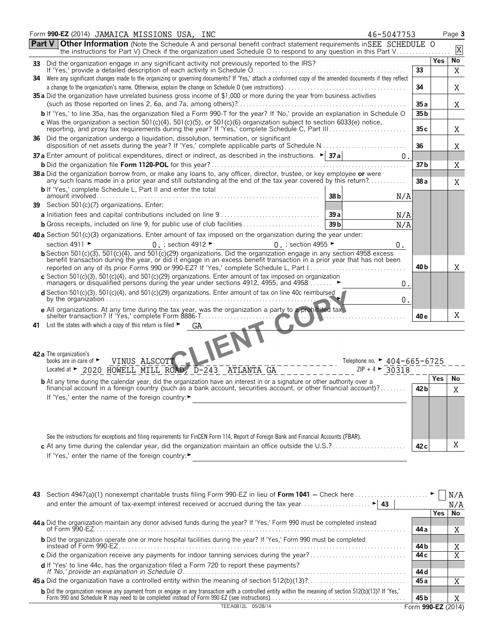|    | Form 990-EZ (2014) JAMAICA MISSIONS USA, INC<br>46-5047753                                                                                                                                                                                                                                                  |                 |     | Page 3 |
|----|-------------------------------------------------------------------------------------------------------------------------------------------------------------------------------------------------------------------------------------------------------------------------------------------------------------|-----------------|-----|--------|
|    | <b>Other Information</b> (Note the Schedule A and personal benefit contract statement requirements in SEE SCHEDULE 0<br><b>Part V</b><br>the instructions for Part V) Check if the organization used Schedule O to respond to any question in this Part V                                                   |                 |     | X      |
|    | 33 Did the organization engage in any significant activity not previously reported to the IRS?                                                                                                                                                                                                              |                 | Yes | No     |
|    | 34 Were any significant changes made to the organizing or governing documents? If 'Yes,' attach a conformed copy of the amended documents if they reflect                                                                                                                                                   | 33              |     | Χ      |
|    |                                                                                                                                                                                                                                                                                                             | 34              |     | Χ      |
|    | 35 a Did the organization have unrelated business gross income of \$1,000 or more during the year from business activities                                                                                                                                                                                  |                 |     |        |
|    |                                                                                                                                                                                                                                                                                                             | 35a             |     | Χ      |
|    | b If 'Yes,' to line 35a, has the organization filed a Form 990-T for the year? If 'No,' provide an explanation in Schedule O                                                                                                                                                                                | 35 b            |     |        |
|    | c Was the organization a section 501(c)(4), 501(c)(5), or 501(c)(6) organization subject to section 6033(e) notice,<br>reporting, and proxy tax requirements during the year? If 'Yes,' complete Schedule C, Part III                                                                                       | 35c             |     | Χ      |
| 36 | Did the organization undergo a liquidation, dissolution, termination, or significant<br>disposition of net assets during the year? If 'Yes,' complete applicable parts of Schedule N                                                                                                                        | 36              |     | Χ      |
|    | <b>37 a</b> Enter amount of political expenditures, direct or indirect, as described in the instructions. $\blacktriangleright$ <b>37 a</b><br>0                                                                                                                                                            |                 |     |        |
|    |                                                                                                                                                                                                                                                                                                             | 37 b            |     | Χ      |
|    | 38 a Did the organization borrow from, or make any loans to, any officer, director, trustee, or key employee or were<br>any such loans made in a prior year and still outstanding at the end of the tax year covered by this return?<br><b>b</b> If 'Yes,' complete Schedule L, Part II and enter the total | 38a             |     | X      |
|    | 38 <sub>b</sub><br>N/A                                                                                                                                                                                                                                                                                      |                 |     |        |
|    | 39 Section 501(c)(7) organizations. Enter:                                                                                                                                                                                                                                                                  |                 |     |        |
|    | 39a<br>N/A                                                                                                                                                                                                                                                                                                  |                 |     |        |
|    | <b>b</b> Gross receipts, included on line 9, for public use of club facilities<br>39 <sub>b</sub><br>N/A                                                                                                                                                                                                    |                 |     |        |
|    | 40 a Section 501(c)(3) organizations. Enter amount of tax imposed on the organization during the year under:                                                                                                                                                                                                |                 |     |        |
|    | section 4911 ►<br>$0.$ ; section 4912 $\blacktriangleright$<br>0. ; section 4955 $\blacktriangleright$<br>0.                                                                                                                                                                                                |                 |     |        |
|    | b Section 501(c)(3), 501(c)(4), and 501(c)(29) organizations. Did the organization engage in any section 4958 excess<br>benefit transaction during the year, or did it engage in an excess benefit transaction in a prior year that has not been                                                            |                 |     |        |
|    | reported on any of its prior Forms 990 or 990-EZ? If 'Yes,' complete Schedule L, Part I<br>c Section 501(c)(3), 501(c)(4), and 501(c)(29) organizations. Enter amount of tax imposed on organization                                                                                                        | 40 b            |     | Χ      |
|    | managers or disqualified persons during the year under sections 4912, 4955, and 4958<br>0.                                                                                                                                                                                                                  |                 |     |        |
|    | $d$ Section 501(c)(3), 501(c)(4), and 501(c)(29) organizations. Enter amount of tax on line 40c reimbursed<br>0.                                                                                                                                                                                            |                 |     |        |
|    | e All organizations. At any time during the tax year, was the organization a party to a prohibited tax                                                                                                                                                                                                      |                 |     |        |
|    | shelter transaction? If 'Yes,' complete Form 8886-T                                                                                                                                                                                                                                                         | 40 e            |     | X      |
| 41 | List the states with which a copy of this return is filed $\blacktriangleright$<br>GA<br>IEN                                                                                                                                                                                                                |                 |     |        |
|    | 42 a The organization's<br>VINUS ALSCOTT<br>books are in care of $\blacktriangleright$<br>Telephone no. ► $404 - 665 - 6725$                                                                                                                                                                                |                 |     |        |
|    | Located at > 2020 HOWELL MILL ROAD, D-243 ATLANTA GA<br>$ZIP + 4$ $\triangleright$ 30318                                                                                                                                                                                                                    |                 |     |        |
|    | <b>b</b> At any time during the calendar year, did the organization have an interest in or a signature or other authority over a                                                                                                                                                                            |                 | Yes | No.    |
|    | financial account in a foreign country (such as a bank account, securities account, or other financial account)?<br>If 'Yes,' enter the name of the foreign country:▶                                                                                                                                       | 42 <sub>b</sub> |     | Χ      |
|    |                                                                                                                                                                                                                                                                                                             |                 |     |        |
|    |                                                                                                                                                                                                                                                                                                             |                 |     |        |
|    |                                                                                                                                                                                                                                                                                                             |                 |     |        |
|    | See the instructions for exceptions and filing requirements for FinCEN Form 114, Report of Foreign Bank and Financial Accounts (FBAR).                                                                                                                                                                      |                 |     |        |
|    | c At any time during the calendar year, did the organization maintain an office outside the $U.S. ? \dots \dots \dots \dots \dots \dots$                                                                                                                                                                    | 42 c            |     | Χ      |
|    | If 'Yes,' enter the name of the foreign country:▶                                                                                                                                                                                                                                                           |                 |     |        |
|    |                                                                                                                                                                                                                                                                                                             |                 |     |        |
|    |                                                                                                                                                                                                                                                                                                             |                 |     |        |
|    |                                                                                                                                                                                                                                                                                                             |                 |     |        |
|    | 43 Section 4947(a)(1) nonexempt charitable trusts filing Form 990-EZ in lieu of Form 1041 – Check here                                                                                                                                                                                                      |                 |     | N/A    |
|    | $\blacktriangleright$ 43<br>and enter the amount of tax-exempt interest received or accrued during the tax year                                                                                                                                                                                             |                 |     | N/A    |
|    |                                                                                                                                                                                                                                                                                                             |                 | Yes | No     |

| 44 a Did the organization maintain any donor advised funds during the year? If 'Yes,' Form 990 must be completed instead                                                                                                               |      |  |  |
|----------------------------------------------------------------------------------------------------------------------------------------------------------------------------------------------------------------------------------------|------|--|--|
| of Form $990 - FZ$                                                                                                                                                                                                                     | 44 a |  |  |
| <b>b</b> Did the organization operate one or more hospital facilities during the year? If 'Yes,' Form 990 must be completed                                                                                                            |      |  |  |
|                                                                                                                                                                                                                                        | 44 b |  |  |
|                                                                                                                                                                                                                                        | 44 c |  |  |
|                                                                                                                                                                                                                                        |      |  |  |
|                                                                                                                                                                                                                                        | 44 d |  |  |
|                                                                                                                                                                                                                                        | 45 a |  |  |
|                                                                                                                                                                                                                                        |      |  |  |
| <b>b</b> Did the organization receive any payment from or engage in any transaction with a controlled entity within the meaning of section 512(b)(13)? If 'Yes,'<br>Form 990 and Schedule R may need to be completed instead of Form 9 | 45 b |  |  |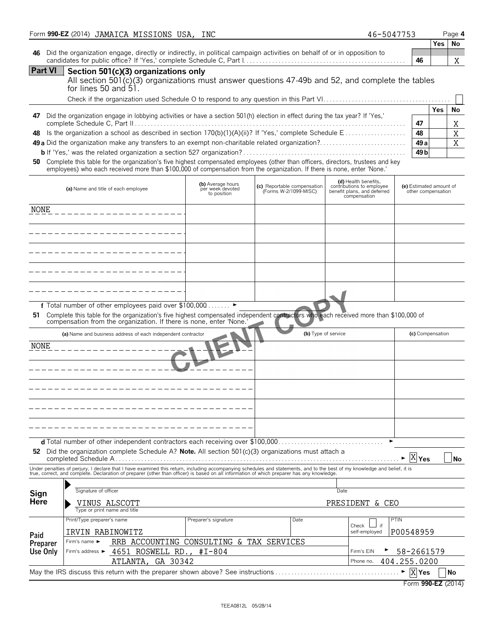|                  | Form 990-EZ (2014) JAMAICA MISSIONS USA, INC                                                                                                                                                                                                                                                                             |                                                      |                                                      | 46-5047753                                                                                       |                                               |            | Page 4    |
|------------------|--------------------------------------------------------------------------------------------------------------------------------------------------------------------------------------------------------------------------------------------------------------------------------------------------------------------------|------------------------------------------------------|------------------------------------------------------|--------------------------------------------------------------------------------------------------|-----------------------------------------------|------------|-----------|
| 46               | Did the organization engage, directly or indirectly, in political campaign activities on behalf of or in opposition to                                                                                                                                                                                                   |                                                      |                                                      |                                                                                                  | 46                                            | Yes.       | No<br>X   |
| <b>Part VI</b>   | Section 501(c)(3) organizations only<br>All section 501(c)(3) organizations must answer questions 47-49b and 52, and complete the tables<br>for lines 50 and $51.$                                                                                                                                                       |                                                      |                                                      |                                                                                                  |                                               |            |           |
|                  | 47 Did the organization engage in lobbying activities or have a section 501(h) election in effect during the tax year? If 'Yes,'                                                                                                                                                                                         |                                                      |                                                      |                                                                                                  | 47                                            | <b>Yes</b> | No<br>Χ   |
| 48<br>50         | Complete this table for the organization's five highest compensated employees (other than officers, directors, trustees and key<br>employees) who each received more than \$100,000 of compensation from the organization. If there is none, enter 'None.'                                                               |                                                      |                                                      |                                                                                                  | 48<br>49a<br>49 b                             |            | X<br>X    |
|                  | (a) Name and title of each employee                                                                                                                                                                                                                                                                                      | (b) Average hours<br>per week devoted<br>to position | (c) Reportable compensation<br>(Forms W-2/1099-MISC) | (d) Health benefits,<br>contributions to employee<br>benefit plans, and deferred<br>compensation | (e) Estimated amount of<br>other compensation |            |           |
| NONE             |                                                                                                                                                                                                                                                                                                                          |                                                      |                                                      |                                                                                                  |                                               |            |           |
|                  |                                                                                                                                                                                                                                                                                                                          |                                                      |                                                      |                                                                                                  |                                               |            |           |
|                  | —————————————————                                                                                                                                                                                                                                                                                                        |                                                      |                                                      |                                                                                                  |                                               |            |           |
|                  | __________________                                                                                                                                                                                                                                                                                                       |                                                      |                                                      |                                                                                                  |                                               |            |           |
|                  |                                                                                                                                                                                                                                                                                                                          |                                                      |                                                      |                                                                                                  |                                               |            |           |
| 51               | f Total number of other employees paid over \$100,000 ►<br>Complete this table for the organization's five highest compensated independent contractors who each received more than \$100,000 of<br>compensation from the organization. If there is none, enter 'None.                                                    |                                                      |                                                      |                                                                                                  |                                               |            |           |
|                  | (a) Name and business address of each independent contractor                                                                                                                                                                                                                                                             |                                                      |                                                      | (b) Type of service                                                                              | (c) Compensation                              |            |           |
| NONE             | ------------------                                                                                                                                                                                                                                                                                                       |                                                      |                                                      |                                                                                                  |                                               |            |           |
|                  |                                                                                                                                                                                                                                                                                                                          |                                                      |                                                      |                                                                                                  |                                               |            |           |
|                  |                                                                                                                                                                                                                                                                                                                          |                                                      |                                                      |                                                                                                  |                                               |            |           |
|                  |                                                                                                                                                                                                                                                                                                                          |                                                      |                                                      |                                                                                                  |                                               |            |           |
|                  |                                                                                                                                                                                                                                                                                                                          |                                                      |                                                      |                                                                                                  |                                               |            |           |
| 52               | Did the organization complete Schedule A? Note. All section 501(c)(3) organizations must attach a                                                                                                                                                                                                                        |                                                      |                                                      |                                                                                                  | $X$ $Y$ es                                    |            | <b>No</b> |
|                  | Under penalties of perjury, I declare that I have examined this return, including accompanying schedules and statements, and to the best of my knowledge and belief, it is<br>true, correct, and complete. Declaration of preparer (other than officer) is based on all information of which preparer has any knowledge. |                                                      |                                                      |                                                                                                  |                                               |            |           |
| Sign             | Signature of officer                                                                                                                                                                                                                                                                                                     |                                                      |                                                      | Date                                                                                             |                                               |            |           |
| Here             | VINUS ALSCOTT<br>Type or print name and title                                                                                                                                                                                                                                                                            |                                                      |                                                      | PRESIDENT & CEO                                                                                  |                                               |            |           |
|                  | Print/Type preparer's name                                                                                                                                                                                                                                                                                               | Preparer's signature                                 | Date                                                 | if<br>Check                                                                                      | PTIN                                          |            |           |
| Paid<br>Preparer | IRVIN RABINOWITZ<br>RRB ACCOUNTING CONSULTING & TAX SERVICES<br>Firm's name ►                                                                                                                                                                                                                                            |                                                      |                                                      | self-employed                                                                                    | P00548959                                     |            |           |
| Use Only         | 4651 ROSWELL RD., #I-804<br>Firm's address ►<br>ATLANTA, GA 30342                                                                                                                                                                                                                                                        |                                                      |                                                      | Firm's EIN<br>Phone no.                                                                          | 58-2661579<br>404.255.0200                    |            |           |
|                  |                                                                                                                                                                                                                                                                                                                          |                                                      |                                                      |                                                                                                  | $X$ Yes<br>Form 990-EZ (2014)                 |            | No        |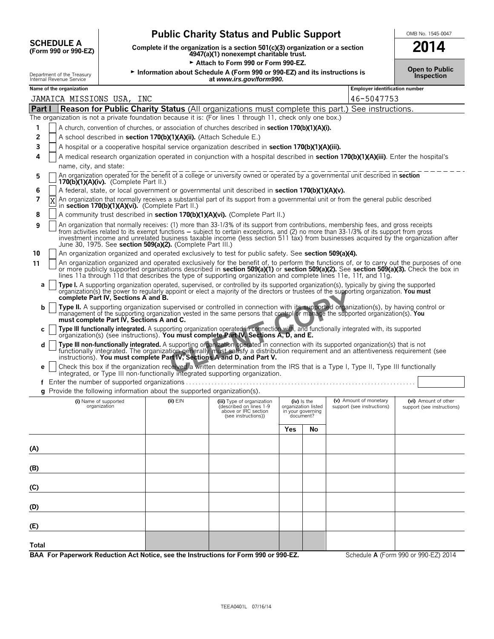|                                                        | <b>Public Charity Status and Public Support</b>                                                                         | OMB No. 1545-0            |
|--------------------------------------------------------|-------------------------------------------------------------------------------------------------------------------------|---------------------------|
| <b>SCHEDULE A</b><br>(Form 990 or 990-EZ)              | Complete if the organization is a section 501(c)(3) organization or a section<br>4947(a)(1) nonexempt charitable trust. |                           |
|                                                        | Attach to Form 990 or Form 990-EZ.                                                                                      |                           |
| Department of the Treasury<br>Internal Revenue Service | Information about Schedule A (Form 990 or 990-EZ) and its instructions is<br>at www.irs.gov/form990.                    | Open to Pub<br>Inspection |

**Name of the organization Employer identification number**

| OMB No. 1545-0047 |  |
|-------------------|--|
| 2014              |  |

| <b>Open to Public</b> |  |
|-----------------------|--|
| <b>Inspection</b>     |  |

|               | JAMAICA MISSIONS USA, INC                                                                                                                                                                                                                                                                                                                                                                                                        |              |                                                                                                      |     |                                                                        | 46-5047753                                           |                                                    |
|---------------|----------------------------------------------------------------------------------------------------------------------------------------------------------------------------------------------------------------------------------------------------------------------------------------------------------------------------------------------------------------------------------------------------------------------------------|--------------|------------------------------------------------------------------------------------------------------|-----|------------------------------------------------------------------------|------------------------------------------------------|----------------------------------------------------|
| <b>Part I</b> | Reason for Public Charity Status (All organizations must complete this part.) See instructions.                                                                                                                                                                                                                                                                                                                                  |              |                                                                                                      |     |                                                                        |                                                      |                                                    |
|               | The organization is not a private foundation because it is: (For lines 1 through 11, check only one box.)                                                                                                                                                                                                                                                                                                                        |              |                                                                                                      |     |                                                                        |                                                      |                                                    |
| 1             | A church, convention of churches, or association of churches described in <b>section 170(b)(1)(A)(i).</b>                                                                                                                                                                                                                                                                                                                        |              |                                                                                                      |     |                                                                        |                                                      |                                                    |
| 2             | A school described in section 170(b)(1)(A)(ii). (Attach Schedule E.)                                                                                                                                                                                                                                                                                                                                                             |              |                                                                                                      |     |                                                                        |                                                      |                                                    |
| 3             | A hospital or a cooperative hospital service organization described in section 170(b)(1)(A)(iii).                                                                                                                                                                                                                                                                                                                                |              |                                                                                                      |     |                                                                        |                                                      |                                                    |
| 4             | A medical research organization operated in conjunction with a hospital described in section 170(b)(1)(A)(iii). Enter the hospital's                                                                                                                                                                                                                                                                                             |              |                                                                                                      |     |                                                                        |                                                      |                                                    |
|               | name, city, and state:                                                                                                                                                                                                                                                                                                                                                                                                           |              |                                                                                                      |     |                                                                        |                                                      |                                                    |
| 5             | An organization operated for the benefit of a college or university owned or operated by a governmental unit described in section<br>170(b)(1)(A)(iv). (Complete Part II.)                                                                                                                                                                                                                                                       |              |                                                                                                      |     |                                                                        |                                                      |                                                    |
| 6             | A federal, state, or local government or governmental unit described in section 170(b)(1)(A)(v).                                                                                                                                                                                                                                                                                                                                 |              |                                                                                                      |     |                                                                        |                                                      |                                                    |
| 7             | An organization that normally receives a substantial part of its support from a governmental unit or from the general public described<br>in section 170(b)(1)(A)(vi). (Complete Part II.)                                                                                                                                                                                                                                       |              |                                                                                                      |     |                                                                        |                                                      |                                                    |
| 8             | A community trust described in section 170(b)(1)(A)(vi). (Complete Part II.)                                                                                                                                                                                                                                                                                                                                                     |              |                                                                                                      |     |                                                                        |                                                      |                                                    |
| 9             | An organization that normally receives: (1) more than 33-1/3% of its support from contributions, membership fees, and gross receipts from activities related to its exempt functions – subject to certain exceptions, and (2)<br>investment income and unrelated business taxable income (less section 511 tax) from businesses acquired by the organization after<br>June 30, 1975. See section 509(a)(2). (Complete Part III.) |              |                                                                                                      |     |                                                                        |                                                      |                                                    |
| 10            | An organization organized and operated exclusively to test for public safety. See section 509(a)(4).                                                                                                                                                                                                                                                                                                                             |              |                                                                                                      |     |                                                                        |                                                      |                                                    |
| 11            | An organization organized and operated exclusively for the benefit of, to perform the functions of, or to carry out the purposes of one<br>or more publicly supported organizations described in section 509(a)(1) or section 509(a)(2). See section 509(a)(3). Check the box in<br>lines 11a through 11d that describes the type of supporting organization and complete lines 11e, 11f, and 11g.                               |              |                                                                                                      |     |                                                                        |                                                      |                                                    |
| a             | Type I. A supporting organization operated, supervised, or controlled by its supported organization(s), typically by giving the supported<br>organization(s) the power to regularly appoint or elect a majority of the directors or trustees of the supporting organization. You must<br>complete Part IV, Sections A and B.                                                                                                     |              |                                                                                                      |     |                                                                        |                                                      |                                                    |
| b             | Type II. A supporting organization supervised or controlled in connection with its supported organization(s), by having control or<br>management of the supporting organization vested in the same persons that control or manage the supported organization(s). You<br>must complete Part IV. Sections A and C.                                                                                                                 |              |                                                                                                      |     |                                                                        |                                                      |                                                    |
| C             | Type III functionally integrated. A supporting organization operated in connection with, and functionally integrated with, its supported organization(s) (see instructions). You must complete Part IV, Sections A, D, and E.                                                                                                                                                                                                    |              |                                                                                                      |     |                                                                        |                                                      |                                                    |
| d             | Type III non-functionally integrated. A supporting organization operated in connection with its supported organization(s) that is not functionally integrated. The organization generally must satisfy a distribution requirem                                                                                                                                                                                                   |              |                                                                                                      |     |                                                                        |                                                      |                                                    |
| е             | Check this box if the organization received a written determination from the IRS that is a Type I, Type II, Type III functionally<br>integrated, or Type III non-functionally integrated supporting organization.                                                                                                                                                                                                                |              |                                                                                                      |     |                                                                        |                                                      |                                                    |
|               |                                                                                                                                                                                                                                                                                                                                                                                                                                  |              |                                                                                                      |     |                                                                        |                                                      |                                                    |
|               | $q$ Provide the following information about the supported organization(s).                                                                                                                                                                                                                                                                                                                                                       |              |                                                                                                      |     |                                                                        |                                                      |                                                    |
|               | (i) Name of supported<br>organization                                                                                                                                                                                                                                                                                                                                                                                            | $(ii)$ $EIN$ | (iii) Type of organization<br>(described on lines 1-9<br>above or IRC section<br>(see instructions)) |     | $(iv)$ is the<br>organization listed<br>in your governing<br>document? | (v) Amount of monetary<br>support (see instructions) | (vi) Amount of other<br>support (see instructions) |
|               |                                                                                                                                                                                                                                                                                                                                                                                                                                  |              |                                                                                                      | Yes | Νo                                                                     |                                                      |                                                    |
| (A)           |                                                                                                                                                                                                                                                                                                                                                                                                                                  |              |                                                                                                      |     |                                                                        |                                                      |                                                    |
|               |                                                                                                                                                                                                                                                                                                                                                                                                                                  |              |                                                                                                      |     |                                                                        |                                                      |                                                    |
| (B)           |                                                                                                                                                                                                                                                                                                                                                                                                                                  |              |                                                                                                      |     |                                                                        |                                                      |                                                    |
|               |                                                                                                                                                                                                                                                                                                                                                                                                                                  |              |                                                                                                      |     |                                                                        |                                                      |                                                    |
| (C)           |                                                                                                                                                                                                                                                                                                                                                                                                                                  |              |                                                                                                      |     |                                                                        |                                                      |                                                    |
|               |                                                                                                                                                                                                                                                                                                                                                                                                                                  |              |                                                                                                      |     |                                                                        |                                                      |                                                    |
| (D)           |                                                                                                                                                                                                                                                                                                                                                                                                                                  |              |                                                                                                      |     |                                                                        |                                                      |                                                    |
|               |                                                                                                                                                                                                                                                                                                                                                                                                                                  |              |                                                                                                      |     |                                                                        |                                                      |                                                    |
| (E)           |                                                                                                                                                                                                                                                                                                                                                                                                                                  |              |                                                                                                      |     |                                                                        |                                                      |                                                    |
| Total         |                                                                                                                                                                                                                                                                                                                                                                                                                                  |              |                                                                                                      |     |                                                                        |                                                      |                                                    |
|               | BAA For Paperwork Reduction Act Notice, see the Instructions for Form 990 or 990-EZ.                                                                                                                                                                                                                                                                                                                                             |              |                                                                                                      |     |                                                                        |                                                      | Schedule A (Form 990 or 990-EZ) 2014               |
|               |                                                                                                                                                                                                                                                                                                                                                                                                                                  |              |                                                                                                      |     |                                                                        |                                                      |                                                    |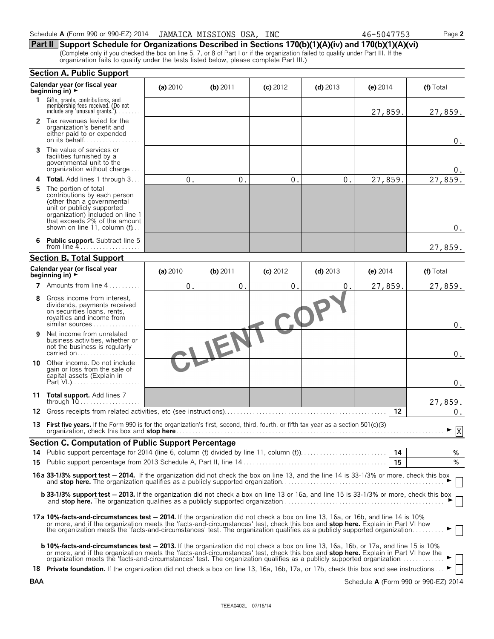| 1. | Gifts, grants, contributions, and<br>membership fees received. (Do not<br>include any 'unusual grants.'). $\ldots$                                                                                                                                                                                                                                                                                       |          |            |              |            | 27,859.    | 27,859.   |  |
|----|----------------------------------------------------------------------------------------------------------------------------------------------------------------------------------------------------------------------------------------------------------------------------------------------------------------------------------------------------------------------------------------------------------|----------|------------|--------------|------------|------------|-----------|--|
| 2  | Tax revenues levied for the<br>organization's benefit and<br>either paid to or expended<br>on its behalf                                                                                                                                                                                                                                                                                                 |          |            |              |            |            | $0$ .     |  |
| 3  | The value of services or<br>facilities furnished by a<br>governmental unit to the<br>organization without charge                                                                                                                                                                                                                                                                                         |          |            |              |            |            | 0.        |  |
| 4  | <b>Total.</b> Add lines 1 through 3                                                                                                                                                                                                                                                                                                                                                                      | 0.       | 0.         | 0.           | 0.         | 27,859.    | 27,859.   |  |
| 5  | The portion of total<br>contributions by each person<br>(other than a governmental<br>unit or publicly supported<br>organization) included on line 1<br>that exceeds 2% of the amount<br>shown on line 11, column (f)                                                                                                                                                                                    |          |            |              |            |            | $0$ .     |  |
| 6  | <b>Public support.</b> Subtract line 5<br>from line $4$                                                                                                                                                                                                                                                                                                                                                  |          |            |              |            |            | 27,859.   |  |
|    | <b>Section B. Total Support</b>                                                                                                                                                                                                                                                                                                                                                                          |          |            |              |            |            |           |  |
|    | Calendar year (or fiscal year<br>beginning in) $\rightarrow$                                                                                                                                                                                                                                                                                                                                             | (a) 2010 | $(b)$ 2011 | $(c)$ 2012   | $(d)$ 2013 | (e) $2014$ | (f) Total |  |
|    | 7 Amounts from line 4                                                                                                                                                                                                                                                                                                                                                                                    | 0.       | 0.         | $0$ .        | 0.         | 27,859.    | 27,859.   |  |
| 8  | Gross income from interest,<br>dividends, payments received<br>on securities loans, rents,<br>royalties and income from<br>similar sources                                                                                                                                                                                                                                                               |          |            | $\mathbb{C}$ |            |            | 0.        |  |
| 9  | Net income from unrelated<br>business activities, whether or<br>not the business is regularly<br>carried on                                                                                                                                                                                                                                                                                              |          |            |              |            |            | 0.        |  |
|    | <b>10</b> Other income. Do not include<br>gain or loss from the sale of<br>capital assets (Explain in                                                                                                                                                                                                                                                                                                    |          |            |              |            |            | 0.        |  |
|    | 11 Total support. Add lines 7<br>through 10                                                                                                                                                                                                                                                                                                                                                              |          |            |              |            |            | 27,859.   |  |
| 12 |                                                                                                                                                                                                                                                                                                                                                                                                          |          |            |              |            | 12         | 0.        |  |
| 13 | First five years. If the Form 990 is for the organization's first, second, third, fourth, or fifth tax year as a section 501(c)(3)                                                                                                                                                                                                                                                                       |          |            |              |            |            | X         |  |
|    | <b>Section C. Computation of Public Support Percentage</b>                                                                                                                                                                                                                                                                                                                                               |          |            |              |            |            |           |  |
|    | 14 Public support percentage for 2014 (line 6, column (f) divided by line 11, column (f)                                                                                                                                                                                                                                                                                                                 |          |            |              |            | 14         | %         |  |
|    |                                                                                                                                                                                                                                                                                                                                                                                                          |          |            |              |            |            | ℅         |  |
|    | 16a 33-1/3% support test - 2014. If the organization did not check the box on line 13, and the line 14 is 33-1/3% or more, check this box                                                                                                                                                                                                                                                                |          |            |              |            |            |           |  |
|    | <b>b 33-1/3% support test - 2013.</b> If the organization did not check a box on line 13 or 16a, and line 15 is 33-1/3% or more, check this box                                                                                                                                                                                                                                                          |          |            |              |            |            |           |  |
|    | 17a 10%-facts-and-circumstances test - 2014. If the organization did not check a box on line 13, 16a, or 16b, and line 14 is 10%<br>or more, and if the organization meets the 'facts-and-circumstances' test, check this box and <b>stop here.</b> Explain in Part VI how<br>the organization meets the 'facts-and-circumstances' test. The organization qualifies as a publicly supported organization |          |            |              |            |            |           |  |
|    | b 10%-facts-and-circumstances test - 2013. If the organization did not check a box on line 13, 16a, 16b, or 17a, and line 15 is 10%<br>or more, and if the organization meets the 'facts-and-circumstances' test, check this box and <b>stop here.</b> Explain in Part VI how the                                                                                                                        |          |            |              |            |            |           |  |

| organization model the nade and encamplances test. The organization quannels as a pablicly supported organization.                      |  |
|-----------------------------------------------------------------------------------------------------------------------------------------|--|
| 18 Private foundation. If the organization did not check a box on line 13, 16a, 16b, 17a, or 17b, check this box and see instructions ▶ |  |

### Schedule **A** (Form 990 or 990-EZ) 2014 GJAMAICA MISSIONS USA, INC 46-5047753 Page 2

**Section A. Public Support**

**Part II Support Schedule for Organizations Described in Sections 170(b)(1)(A)(iv) and 170(b)(1)(A)(vi)** (Complete only if you checked the box on line 5, 7, or 8 of Part I or if the organization failed to qualify under Part III. If the organization fails to qualify under the tests listed below, please complete Part III.)

**Calendar year (or fiscal year (a)** 2010 **(b)** 2011 **(c)** 2012 **(d)** 2013 **(e)** 2014 **(f)** Total **beginning in)**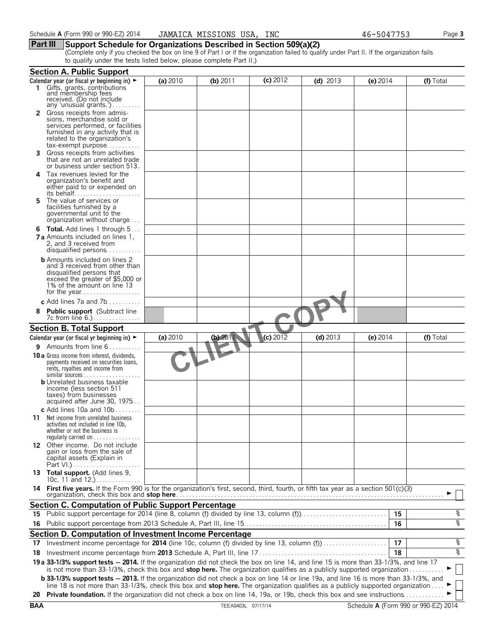### **Part III Support Schedule for Organizations Described in Section 509(a)(2)**

(Complete only if you checked the box on line 9 of Part I or if the organization failed to qualify under Part II. If the organization fails to qualify under the tests listed below, please complete Part II.)

|     | <b>Section A. Public Support</b>                                                                                                             |          |            |                   |            |            |           |
|-----|----------------------------------------------------------------------------------------------------------------------------------------------|----------|------------|-------------------|------------|------------|-----------|
|     | Calendar year (or fiscal yr beginning in) $\blacktriangleright$                                                                              | (a) 2010 | (b) $2011$ | $(c)$ 2012        | (d) $2013$ | (e) $2014$ | (f) Total |
|     | Gifts, grants, contributions<br>and membership fees                                                                                          |          |            |                   |            |            |           |
|     | received. (Do not include                                                                                                                    |          |            |                   |            |            |           |
|     | any 'unusual grants.')                                                                                                                       |          |            |                   |            |            |           |
| 2   | Gross receipts from admis-                                                                                                                   |          |            |                   |            |            |           |
|     | sions, merchandise sold or<br>services performed, or facilities                                                                              |          |            |                   |            |            |           |
|     | furnished in any activity that is                                                                                                            |          |            |                   |            |            |           |
|     | related to the organization's                                                                                                                |          |            |                   |            |            |           |
|     | tax-exempt purpose                                                                                                                           |          |            |                   |            |            |           |
| 3   | Gross receipts from activities<br>that are not an unrelated trade                                                                            |          |            |                   |            |            |           |
|     | or business under section 513.                                                                                                               |          |            |                   |            |            |           |
| 4   | Tax revenues levied for the                                                                                                                  |          |            |                   |            |            |           |
|     | organization's benefit and                                                                                                                   |          |            |                   |            |            |           |
|     | either paid to or expended on                                                                                                                |          |            |                   |            |            |           |
| 5   | The value of services or                                                                                                                     |          |            |                   |            |            |           |
|     | facilities furnished by a                                                                                                                    |          |            |                   |            |            |           |
|     | governmental unit to the<br>organization without charge                                                                                      |          |            |                   |            |            |           |
|     |                                                                                                                                              |          |            |                   |            |            |           |
|     | <b>6 Total.</b> Add lines 1 through 5<br><b>7 a</b> Amounts included on lines 1,                                                             |          |            |                   |            |            |           |
|     | 2, and 3 received from                                                                                                                       |          |            |                   |            |            |           |
|     | disqualified persons                                                                                                                         |          |            |                   |            |            |           |
|     | <b>b</b> Amounts included on lines 2                                                                                                         |          |            |                   |            |            |           |
|     | and 3 received from other than                                                                                                               |          |            |                   |            |            |           |
|     | disqualified persons that<br>exceed the greater of \$5,000 or                                                                                |          |            |                   |            |            |           |
|     | 1% of the amount on line 13                                                                                                                  |          |            |                   |            |            |           |
|     |                                                                                                                                              |          |            |                   |            |            |           |
|     | c Add lines 7a and 7b                                                                                                                        |          |            |                   |            |            |           |
| 8   | <b>Public support</b> (Subtract line                                                                                                         |          |            |                   |            |            |           |
|     |                                                                                                                                              |          |            |                   |            |            |           |
|     | <b>Section B. Total Support</b>                                                                                                              |          |            |                   |            |            |           |
|     | Calendar year (or fiscal yr beginning in) $\blacktriangleright$                                                                              | (a) 2010 | (b) 2011   | (c) $20\sqrt{12}$ | $(d)$ 2013 | (e) $2014$ | (f) Total |
|     | <b>9</b> Amounts from line 6                                                                                                                 |          |            |                   |            |            |           |
|     | <b>10 a</b> Gross income from interest, dividends,                                                                                           |          |            |                   |            |            |           |
|     | payments received on securities loans,<br>rents, royalties and income from                                                                   |          |            |                   |            |            |           |
|     | similar sources                                                                                                                              |          |            |                   |            |            |           |
|     | <b>b</b> Unrelated business taxable                                                                                                          |          |            |                   |            |            |           |
|     | income (less section 511                                                                                                                     |          |            |                   |            |            |           |
|     | taxes) from businesses<br>acquired after June 30, 1975                                                                                       |          |            |                   |            |            |           |
|     | c Add lines 10a and $10b$                                                                                                                    |          |            |                   |            |            |           |
| 11  | Net income from unrelated business                                                                                                           |          |            |                   |            |            |           |
|     | activities not included in line 10b.                                                                                                         |          |            |                   |            |            |           |
|     | whether or not the business is                                                                                                               |          |            |                   |            |            |           |
|     | regularly carried on $\dots\dots\dots\dots\dots$<br>12 Other income. Do not include                                                          |          |            |                   |            |            |           |
|     | gain or loss from the sale of                                                                                                                |          |            |                   |            |            |           |
|     | capital assets (Explain in                                                                                                                   |          |            |                   |            |            |           |
|     |                                                                                                                                              |          |            |                   |            |            |           |
|     | 13 Total support. (Add lines 9,<br>10c, 11 and $12.$ )                                                                                       |          |            |                   |            |            |           |
| 14. | First five years. If the Form 990 is for the organization's first, second, third, fourth, or fifth tax year as a section 501(c)(3)           |          |            |                   |            |            |           |
|     |                                                                                                                                              |          |            |                   |            |            |           |
|     | <b>Section C. Computation of Public Support Percentage</b>                                                                                   |          |            |                   |            |            |           |
| 15  | Public support percentage for 2014 (line 8, column (f) divided by line 13, column (f))                                                       |          |            |                   |            | 15         | %         |
| 16  |                                                                                                                                              |          |            |                   |            | 16         | ४         |
|     | Section D. Computation of Investment Income Percentage                                                                                       |          |            |                   |            |            |           |
| 17  | Investment income percentage for 2014 (line 10c, column (f) divided by line 13, column (f))                                                  |          |            |                   |            | 17         | %         |
| 18  |                                                                                                                                              |          |            |                   |            | 18         | ४         |
|     | 19 a 33-1/3% support tests - 2014. If the organization did not check the box on line 14, and line 15 is more than 33-1/3%, and line 17       |          |            |                   |            |            |           |
|     | is not more than 33-1/3%, check this box and stop here. The organization qualifies as a publicly supported organization                      |          |            |                   |            |            |           |
|     | <b>b 33-1/3% support tests - 2013.</b> If the organization did not check a box on line 14 or line 19a, and line 16 is more than 33-1/3%, and |          |            |                   |            |            |           |
|     | line 18 is not more than 33-1/3%, check this box and stop here. The organization qualifies as a publicly supported organization              |          |            |                   |            |            |           |
|     | 20 Private foundation. If the organization did not check a box on line 14, 19a, or 19b, check this box and see instructions                  |          |            |                   |            |            |           |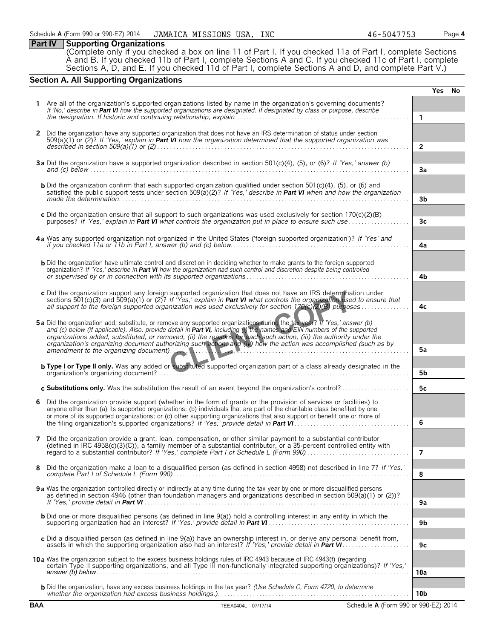### **Part IV Supporting Organizations**

(Complete only if you checked a box on line 11 of Part I. If you checked 11a of Part I, complete Sections A and B. If you checked 11b of Part I, complete Sections A and C. If you checked 11c of Part I, complete Sections A, D, and E. If you checked 11d of Part I, complete Sections A and D, and complete Part V.)

### **Section A. All Supporting Organizations**

|              |                                                                                                                                                                                                                                                                                                                                                                                                                                                                                                |                 | <b>Yes</b> | No. |
|--------------|------------------------------------------------------------------------------------------------------------------------------------------------------------------------------------------------------------------------------------------------------------------------------------------------------------------------------------------------------------------------------------------------------------------------------------------------------------------------------------------------|-----------------|------------|-----|
|              | Are all of the organization's supported organizations listed by name in the organization's governing documents?<br>If 'No,' describe in Part VI how the supported organizations are designated. If designated by class or purpose, describe                                                                                                                                                                                                                                                    | $\mathbf{1}$    |            |     |
|              |                                                                                                                                                                                                                                                                                                                                                                                                                                                                                                |                 |            |     |
| $\mathbf{2}$ | Did the organization have any supported organization that does not have an IRS determination of status under section<br>$509(a)(1)$ or (2)? If 'Yes,' explain in <b>Part VI</b> how the organization determined that the supported organization was                                                                                                                                                                                                                                            | $\overline{2}$  |            |     |
|              | 3a Did the organization have a supported organization described in section 501(c)(4), (5), or (6)? If 'Yes,' answer (b)                                                                                                                                                                                                                                                                                                                                                                        | 3a              |            |     |
|              | <b>b</b> Did the organization confirm that each supported organization qualified under section $501(c)(4)$ , $(5)$ , or $(6)$ and<br>satisfied the public support tests under section 509( $a(2)$ ? If 'Yes,' describe in Part VI when and how the organization                                                                                                                                                                                                                                | 3b              |            |     |
|              | c Did the organization ensure that all support to such organizations was used exclusively for section 170(c)(2)(B)<br>purposes? If 'Yes,' explain in <b>Part VI</b> what controls the organization put in place to ensure such use                                                                                                                                                                                                                                                             | 3 <sub>c</sub>  |            |     |
|              | 4a Was any supported organization not organized in the United States ('foreign supported organization')? If 'Yes' and                                                                                                                                                                                                                                                                                                                                                                          | 4a              |            |     |
|              | <b>b</b> Did the organization have ultimate control and discretion in deciding whether to make grants to the foreign supported<br>organization? If 'Yes,' describe in Part VI how the organization had such control and discretion despite being controlled                                                                                                                                                                                                                                    | 4b              |            |     |
|              | c Did the organization support any foreign supported organization that does not have an IRS determination under<br>sections 501(c)(3) and 509(a)(1) or (2)? If 'Yes,' explain in <b>Part VI</b> what controls the organization used to ensure that<br>all support to the foreign supported organization was used exclusively for section 170(c)(2)(B) purposes                                                                                                                                 | 4c              |            |     |
|              | 5a Did the organization add, substitute, or remove any supported organizations during the tax year? If 'Yes,' answer (b)<br>and (c) below (if applicable). Also, provide detail in Part VI, including (i) the names and EIN numbers of the supported<br>organizations added, substituted, or removed, (ii) the reasons for each such action, (iii) the authority under the<br>organization's organizing document authorizing such action, and (iv) how the action was accomplished (such as by |                 |            |     |
|              | amendment to the organizing document). And a state of the contract of the state of the state of the state of the state of the state of the state of the state of the state of the state of the state of the state of the state                                                                                                                                                                                                                                                                 | 5a              |            |     |
|              | <b>b Type I or Type II only.</b> Was any added or substituted supported organization part of a class already designated in the                                                                                                                                                                                                                                                                                                                                                                 | 5b              |            |     |
|              | c Substitutions only. Was the substitution the result of an event beyond the organization's control?                                                                                                                                                                                                                                                                                                                                                                                           | 5c              |            |     |
| 6            | Did the organization provide support (whether in the form of grants or the provision of services or facilities) to<br>anyone other than (a) its supported organizations; (b) individuals that are part of the charitable class benefited by one<br>or more of its supported organizations; or (c) other supporting organizations that also support or benefit one or more of                                                                                                                   | 6               |            |     |
| 7            | Did the organization provide a grant, loan, compensation, or other similar payment to a substantial contributor<br>(defined in IRC 4958(c)(3)(C)), a family member of a substantial contributor, or a 35-percent controlled entity with                                                                                                                                                                                                                                                        | 7               |            |     |
| 8            | Did the organization make a loan to a disqualified person (as defined in section 4958) not described in line 7? If 'Yes,'                                                                                                                                                                                                                                                                                                                                                                      | 8               |            |     |
|              | 9 a Was the organization controlled directly or indirectly at any time during the tax year by one or more disqualified persons<br>as defined in section 4946 (other than foundation managers and organizations described in section 509(a)(1) or (2))?                                                                                                                                                                                                                                         | 9a              |            |     |
|              | <b>b</b> Did one or more disqualified persons (as defined in line 9(a)) hold a controlling interest in any entity in which the                                                                                                                                                                                                                                                                                                                                                                 | 9 <sub>b</sub>  |            |     |
|              | c Did a disqualified person (as defined in line 9(a)) have an ownership interest in, or derive any personal benefit from,                                                                                                                                                                                                                                                                                                                                                                      | 9c              |            |     |
|              | 10 a Was the organization subject to the excess business holdings rules of IRC 4943 because of IRC 4943(f) (regarding<br>certain Type II supporting organizations, and all Type III non-functionally integrated supporting organizations)? If 'Yes,'                                                                                                                                                                                                                                           | 10a             |            |     |
|              | b Did the organization, have any excess business holdings in the tax year? (Use Schedule C, Form 4720, to determine                                                                                                                                                                                                                                                                                                                                                                            | 10 <sub>b</sub> |            |     |
| <b>BAA</b>   | TEEA0404L 07/17/14<br>Schedule A (Form 990 or 990-EZ) 2014                                                                                                                                                                                                                                                                                                                                                                                                                                     |                 |            |     |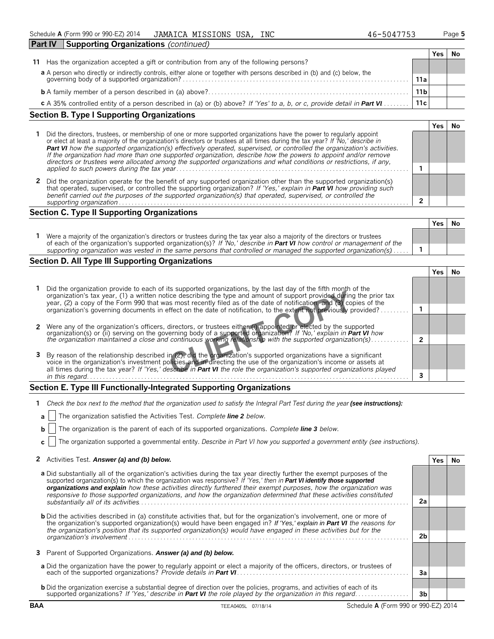| <b>Part IV</b><br><b>Supporting Organizations (continued)</b>                                                                                                         |                 |     |  |
|-----------------------------------------------------------------------------------------------------------------------------------------------------------------------|-----------------|-----|--|
|                                                                                                                                                                       |                 | Yes |  |
| Has the organization accepted a gift or contribution from any of the following persons?<br>11                                                                         |                 |     |  |
|                                                                                                                                                                       |                 |     |  |
| a A person who directly or indirectly controls, either alone or together with persons described in (b) and (c) below, the governing body of a supported organization? | 11a             |     |  |
|                                                                                                                                                                       | 11 <sub>b</sub> |     |  |
| c A 35% controlled entity of a person described in (a) or (b) above? If 'Yes' to a, b, or c, provide detail in Part VI                                                | 11c             |     |  |

| Section B. Type I Supporting Organizations                                                                                                                                                                                                                                                                                                                                                                                                                                                                                                                                                                                           |  |
|--------------------------------------------------------------------------------------------------------------------------------------------------------------------------------------------------------------------------------------------------------------------------------------------------------------------------------------------------------------------------------------------------------------------------------------------------------------------------------------------------------------------------------------------------------------------------------------------------------------------------------------|--|
|                                                                                                                                                                                                                                                                                                                                                                                                                                                                                                                                                                                                                                      |  |
| Did the directors, trustees, or membership of one or more supported organizations have the power to regularly appoint<br>or elect at least a majority of the organization's directors or trustees at all times during the tax year? If 'No,' describe in<br><b>Part VI</b> how the supported organization(s) effectively operated, supervised, or controlled the organization's activities.<br>If the organization had more than one supported organization, describe how the powers to appoint and/or remove<br>directors or trustees were allocated among the supported organizations and what conditions or restrictions, if any, |  |
|                                                                                                                                                                                                                                                                                                                                                                                                                                                                                                                                                                                                                                      |  |
| 2 Did the organization operate for the benefit of any supported organization other than the supported organization(s)<br>that operated, supervised, or controlled the supporting organization? If 'Yes,' explain in <b>Part VI</b> how providing such<br>benefit carried out the purposes of the supported organization(s) that operated, supervised, or controlled the                                                                                                                                                                                                                                                              |  |
|                                                                                                                                                                                                                                                                                                                                                                                                                                                                                                                                                                                                                                      |  |

### **Section C. Type II Supporting Organizations**

|                                                                                                                                                                                                                                                               | Yes | .No |
|---------------------------------------------------------------------------------------------------------------------------------------------------------------------------------------------------------------------------------------------------------------|-----|-----|
| Were a majority of the organization's directors or trustees during the tax year also a majority of the directors or trustees<br>of each of the organization's supported organization(s)? If 'No,' describe in <b>Part VI</b> how control or management of the |     |     |
| supporting organization was vested in the same persons that controlled or managed the supported organization(s)                                                                                                                                               |     |     |
|                                                                                                                                                                                                                                                               |     |     |

### **Section D. All Type III Supporting Organizations**

| Did the organization provide to each of its supported organizations, by the last day of the fifth month of the<br>organization's tax year, (1) a written notice describing the type and amount of support provided during the prior tax<br>year, (2) a copy of the Form 990 that was most recently filed as of the date of notification, and (3) copies of the       |  |  |
|----------------------------------------------------------------------------------------------------------------------------------------------------------------------------------------------------------------------------------------------------------------------------------------------------------------------------------------------------------------------|--|--|
| organization's governing documents in effect on the date of notification, to the extent not previously provided?.                                                                                                                                                                                                                                                    |  |  |
| Were any of the organization's officers, directors, or trustees either (i) appointed or elected by the supported<br>organization(s) or (ii) serving on the governing body of a supported organization? If 'No,' explain in Part VI how                                                                                                                               |  |  |
| the organization maintained a close and continuous working relationship with the supported organization(s)                                                                                                                                                                                                                                                           |  |  |
| 3 By reason of the relationship described in (2), did the organization's supported organizations have a significant<br>voice in the organization's investment policies and in directing the use of the organization's income or assets at<br>all times during the tax year? If 'Yes,' describe in Part VI the role the organization's supported organizations played |  |  |
| in this regard.                                                                                                                                                                                                                                                                                                                                                      |  |  |

# **Section E. Type III Functionally-Integrated Supporting Organizations**

| 1 Check the box next to the method that the organization used to satisfy the Integral Part Test during the year (see instructions): |  |  |
|-------------------------------------------------------------------------------------------------------------------------------------|--|--|
|                                                                                                                                     |  |  |

**a** The organization satisfied the Activities Test. *Complete line 2 below.*

**b** The organization is the parent of each of its supported organizations. *Complete line 3 below.*

**c** The organization supported a governmental entity. *Describe in Part VI how you supported a government entity (see instructions).*

|  | 2 Activities Test. Answer (a) and (b) below. | Yes No |  |
|--|----------------------------------------------|--------|--|
|--|----------------------------------------------|--------|--|

| a Did substantially all of the organization's activities during the tax year directly further the exempt purposes of the<br>supported organization(s) to which the organization was responsive? If 'Yes,' then in Part VI identify those supported<br>organizations and explain how these activities directly furthered their exempt purposes, how the organization was<br>responsive to those supported organizations, and how the organization determined that these activities constituted |                |  |
|-----------------------------------------------------------------------------------------------------------------------------------------------------------------------------------------------------------------------------------------------------------------------------------------------------------------------------------------------------------------------------------------------------------------------------------------------------------------------------------------------|----------------|--|
|                                                                                                                                                                                                                                                                                                                                                                                                                                                                                               | 2a             |  |
| <b>b</b> Did the activities described in (a) constitute activities that, but for the organization's involvement, one or more of<br>the organization's supported organization(s) would have been engaged in? If 'Yes,' explain in <b>Part VI</b> the reasons for<br>the organization's position that its supported organization(s) would have engaged in these activities but for the                                                                                                          |                |  |
|                                                                                                                                                                                                                                                                                                                                                                                                                                                                                               | 2 <sub>b</sub> |  |
| 3 Parent of Supported Organizations. Answer (a) and (b) below.                                                                                                                                                                                                                                                                                                                                                                                                                                |                |  |
| a Did the organization have the power to regularly appoint or elect a majority of the officers, directors, or trustees of                                                                                                                                                                                                                                                                                                                                                                     | 3a             |  |
| <b>b</b> Did the organization exercise a substantial degree of direction over the policies, programs, and activities of each of its                                                                                                                                                                                                                                                                                                                                                           |                |  |
| supported organizations? If 'Yes,' describe in Part VI the role played by the organization in this regard                                                                                                                                                                                                                                                                                                                                                                                     | 3b             |  |

**BAA** TEEA0405L 07/18/14 Schedule **A** (Form 990 or 990-EZ) 2014

**Yes No**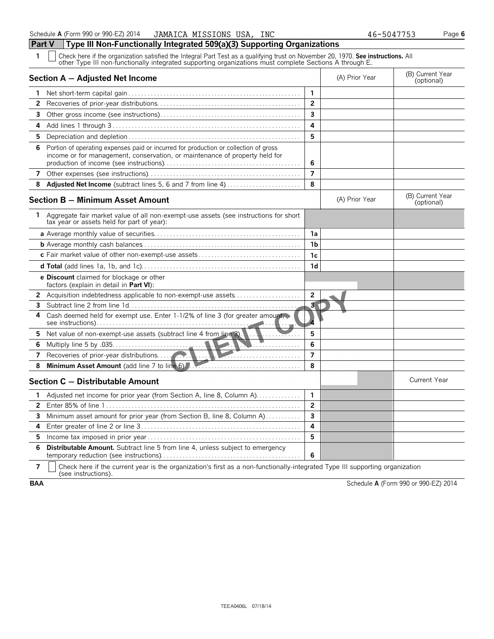| Section A - Adjusted Net Income                                                                                                                                          |                         | (A) Prior Year | (B) Current Year<br>(optional) |
|--------------------------------------------------------------------------------------------------------------------------------------------------------------------------|-------------------------|----------------|--------------------------------|
|                                                                                                                                                                          | 1                       |                |                                |
| $\mathbf{2}$                                                                                                                                                             | $\overline{2}$          |                |                                |
| 3                                                                                                                                                                        | $\mathbf{3}$            |                |                                |
| 4                                                                                                                                                                        | 4                       |                |                                |
| 5                                                                                                                                                                        | 5                       |                |                                |
| Portion of operating expenses paid or incurred for production or collection of gross<br>6<br>income or for management, conservation, or maintenance of property held for | 6                       |                |                                |
| 7                                                                                                                                                                        | $\overline{7}$          |                |                                |
| <b>Adjusted Net Income</b> (subtract lines 5, 6 and 7 from line 4)<br>8                                                                                                  | 8                       |                |                                |
| Section B – Minimum Asset Amount                                                                                                                                         |                         | (A) Prior Year | (B) Current Year<br>(optional) |
| Aggregate fair market value of all non-exempt-use assets (see instructions for short<br>1.<br>tax year or assets held for part of year):                                 |                         |                |                                |
|                                                                                                                                                                          | 1a                      |                |                                |
|                                                                                                                                                                          | 1 <sub>b</sub>          |                |                                |
|                                                                                                                                                                          | 1 <sub>c</sub>          |                |                                |
|                                                                                                                                                                          | 1 <sub>d</sub>          |                |                                |
| e Discount claimed for blockage or other<br>factors (explain in detail in Part VI):                                                                                      |                         |                |                                |
| 2 Acquisition indebtedness applicable to non-exempt-use assets                                                                                                           | $\overline{2}$          |                |                                |
| 3                                                                                                                                                                        | $\overline{\mathbf{3}}$ |                |                                |
| Cash deemed held for exempt use. Enter 1-1/2% of line 3 (for greater amount,<br>4                                                                                        |                         |                |                                |
| Net value of non-exempt-use assets (subtract line 4 from line 3).<br>5.                                                                                                  | 5                       |                |                                |
| 6.                                                                                                                                                                       | 6                       |                |                                |
| 7                                                                                                                                                                        | $\overline{7}$          |                |                                |
| 8                                                                                                                                                                        | 8                       |                |                                |
| Section C - Distributable Amount                                                                                                                                         |                         |                | <b>Current Year</b>            |
| Adjusted net income for prior year (from Section A, line 8, Column A)<br>1.                                                                                              | 1                       |                |                                |
| 2                                                                                                                                                                        | $\overline{\mathbf{c}}$ |                |                                |
| Minimum asset amount for prior year (from Section B, line 8, Column A)<br>3                                                                                              | $\overline{\mathbf{3}}$ |                |                                |
| 4                                                                                                                                                                        | 4                       |                |                                |
| 5.                                                                                                                                                                       | 5                       |                |                                |

**7**  $\mid$  Check here if the current year is the organization's first as a non-functionally-integrated Type III supporting organization (see instructions).

**BAA** Schedule **A** (Form 990 or 990-EZ) 2014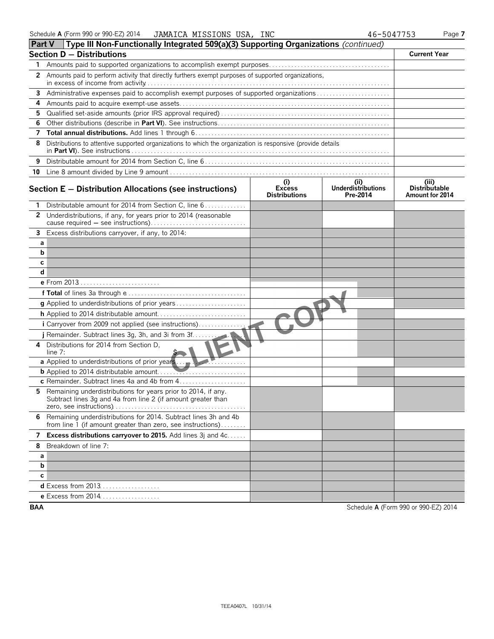|    | <b>Part V</b> Type III Non-Functionally Integrated 509(a)(3) Supporting Organizations (continued)                                |                                              |                                        |                                                  |
|----|----------------------------------------------------------------------------------------------------------------------------------|----------------------------------------------|----------------------------------------|--------------------------------------------------|
|    | <b>Section D - Distributions</b>                                                                                                 |                                              |                                        | <b>Current Year</b>                              |
| 1. |                                                                                                                                  |                                              |                                        |                                                  |
| 2  | Amounts paid to perform activity that directly furthers exempt purposes of supported organizations,                              |                                              |                                        |                                                  |
| 3  | Administrative expenses paid to accomplish exempt purposes of supported organizations                                            |                                              |                                        |                                                  |
| 4  |                                                                                                                                  |                                              |                                        |                                                  |
| 5. |                                                                                                                                  |                                              |                                        |                                                  |
| 6  |                                                                                                                                  |                                              |                                        |                                                  |
| 7  |                                                                                                                                  |                                              |                                        |                                                  |
| 8  | Distributions to attentive supported organizations to which the organization is responsive (provide details                      |                                              |                                        |                                                  |
| 9  |                                                                                                                                  |                                              |                                        |                                                  |
|    |                                                                                                                                  |                                              |                                        |                                                  |
|    | Section $E -$ Distribution Allocations (see instructions)                                                                        | (i)<br><b>Excess</b><br><b>Distributions</b> | (ii)<br>Underdistributions<br>Pre-2014 | (iii)<br><b>Distributable</b><br>Amount for 2014 |
|    | Distributable amount for 2014 from Section C, line 6                                                                             |                                              |                                        |                                                  |
|    | 2 Underdistributions, if any, for years prior to 2014 (reasonable                                                                |                                              |                                        |                                                  |
|    | 3 Excess distributions carryover, if any, to 2014:                                                                               |                                              |                                        |                                                  |
| а  |                                                                                                                                  |                                              |                                        |                                                  |
| b  |                                                                                                                                  |                                              |                                        |                                                  |
| с  |                                                                                                                                  |                                              |                                        |                                                  |
| d  |                                                                                                                                  |                                              |                                        |                                                  |
|    | e From 2013                                                                                                                      |                                              |                                        |                                                  |
|    |                                                                                                                                  |                                              |                                        |                                                  |
|    |                                                                                                                                  |                                              |                                        |                                                  |
|    |                                                                                                                                  |                                              |                                        |                                                  |
|    | i Carryover from 2009 not applied (see instructions)                                                                             |                                              |                                        |                                                  |
|    |                                                                                                                                  |                                              |                                        |                                                  |
| 4  | Distributions for 2014 from Section D.<br>line $7:$                                                                              |                                              |                                        |                                                  |
|    |                                                                                                                                  |                                              |                                        |                                                  |
|    |                                                                                                                                  |                                              |                                        |                                                  |
|    |                                                                                                                                  |                                              |                                        |                                                  |
| 5  | Remaining underdistributions for years prior to 2014, if any.<br>Subtract lines 3g and 4a from line 2 (if amount greater than    |                                              |                                        |                                                  |
|    | 6 Remaining underdistributions for 2014. Subtract lines 3h and 4b<br>from line 1 (if amount greater than zero, see instructions) |                                              |                                        |                                                  |
| 7  | Excess distributions carryover to 2015. Add lines 3j and 4c                                                                      |                                              |                                        |                                                  |
| 8  | Breakdown of line 7:                                                                                                             |                                              |                                        |                                                  |
| а  |                                                                                                                                  |                                              |                                        |                                                  |
| b  |                                                                                                                                  |                                              |                                        |                                                  |
| С  |                                                                                                                                  |                                              |                                        |                                                  |
|    | <b>d</b> Excess from 2013                                                                                                        |                                              |                                        |                                                  |
|    | <b>e</b> Excess from 2014                                                                                                        |                                              |                                        |                                                  |

**BAA** Schedule **A** (Form 990 or 990-EZ) 2014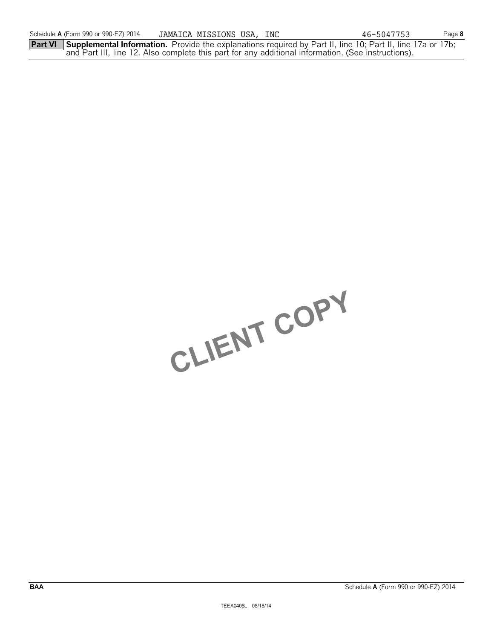**Part VI Supplemental Information.** Provide the explanations required by Part II, line 10; Part II, line 17a or 17b; and Part III, line 12. Also complete this part for any additional information. (See instructions).

CLIENT COPY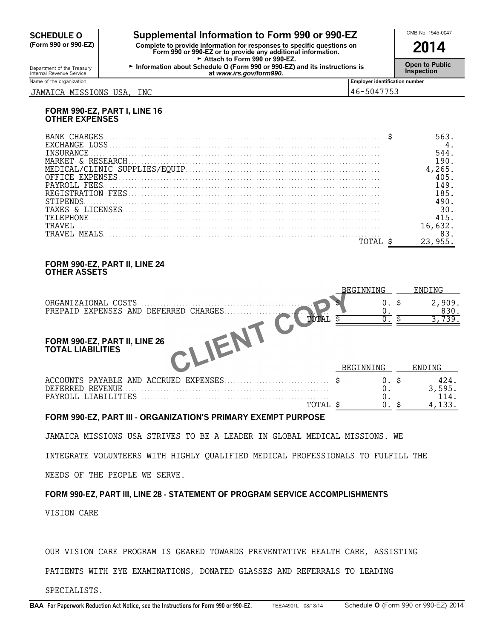# **CHEDULE O** Supplemental Information to Form 990 or 990-EZ<br>
Form 990 or 990-EZ) Complete to provide information for responses to specific questions on

**(Form 990 or 990-EZ) Complete to provide information for responses to specific questions on Form 990 or 990-EZ or to provide any additional information. 2014** Attach to Form 990 or 990-EZ. <sup>G</sup>**Open to Public** Department of the Treasury **Information about Schedule O (Form 990 or 990-EZ) and its instructions is** Internal Revenue Service **Inspection at** *www.irs.gov/form990.*

Name of the organization **Employer identification number Employer identification number** JAMAICA MISSIONS USA, INC 46-5047753

### **FORM 990-EZ, PART I, LINE 16 OTHER EXPENSES**

| <b>TNSURANCE</b> |    |
|------------------|----|
|                  |    |
|                  |    |
|                  |    |
| PAYROLL FEES     |    |
|                  | 85 |
|                  |    |
|                  |    |
|                  |    |
|                  |    |
| TRAVEL MEALS     |    |
|                  |    |

### **FORM 990-EZ, PART II, LINE 24 OTHER ASSETS**

|                                                               | BEGINNING | ENDING         |
|---------------------------------------------------------------|-----------|----------------|
| ORGANIZAIONAL COSTS<br>PREPAID EXPENSES AND DEFERRED CHARGES. | 0.        | 2,909.<br>830. |
| TOTAL                                                         |           | 3,739.         |
| FORM 990-EZ, PART II, LINE 26<br>TOTAL LIABILITIES            |           |                |
|                                                               | BEGINNING | ENDING         |
| DEFERRED REVENUE                                              | 0. \$     | 424.<br>3,595. |
| PAYROLL LIABILITIES                                           |           | 114.           |
| TOTAL                                                         |           | 4,133.         |

### **FORM 990-EZ, PART III - ORGANIZATION'S PRIMARY EXEMPT PURPOSE**

JAMAICA MISSIONS USA STRIVES TO BE A LEADER IN GLOBAL MEDICAL MISSIONS. WE

INTEGRATE VOLUNTEERS WITH HIGHLY QUALIFIED MEDICAL PROFESSIONALS TO FULFILL THE

NEEDS OF THE PEOPLE WE SERVE.

## **FORM 990-EZ, PART III, LINE 28 - STATEMENT OF PROGRAM SERVICE ACCOMPLISHMENTS**

VISION CARE

OUR VISION CARE PROGRAM IS GEARED TOWARDS PREVENTATIVE HEALTH CARE, ASSISTING

PATIENTS WITH EYE EXAMINATIONS, DONATED GLASSES AND REFERRALS TO LEADING

SPECIALISTS.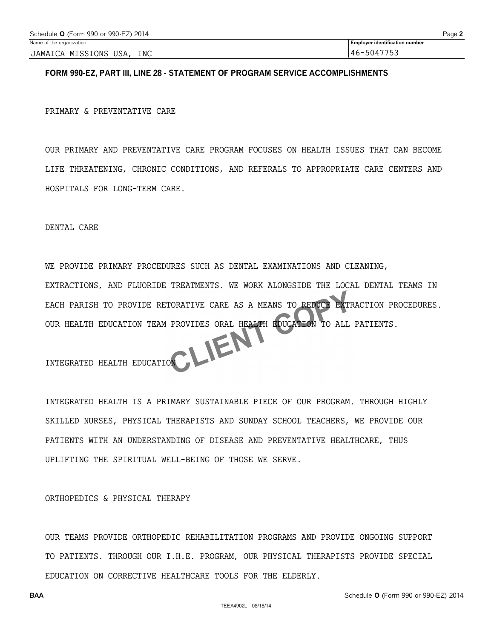### **FORM 990-EZ, PART III, LINE 28 - STATEMENT OF PROGRAM SERVICE ACCOMPLISHMENTS**

PRIMARY & PREVENTATIVE CARE

OUR PRIMARY AND PREVENTATIVE CARE PROGRAM FOCUSES ON HEALTH ISSUES THAT CAN BECOME LIFE THREATENING, CHRONIC CONDITIONS, AND REFERALS TO APPROPRIATE CARE CENTERS AND HOSPITALS FOR LONG-TERM CARE.

DENTAL CARE

WE PROVIDE PRIMARY PROCEDURES SUCH AS DENTAL EXAMINATIONS AND CLEANING, EXTRACTIONS, AND FLUORIDE TREATMENTS. WE WORK ALONGSIDE THE LOCAL DENTAL TEAMS IN EACH PARISH TO PROVIDE RETORATIVE CARE AS A MEANS TO REDUCE EXTRACTION PROCEDURES. OUR HEALTH EDUCATION TEAM PROVIDES ORAL HEALTH EDUCATION TO ALL PATIENTS.<br>INTEGRATED HEALTH EDUCATION

INTEGRATED HEALTH EDUCATION

INTEGRATED HEALTH IS A PRIMARY SUSTAINABLE PIECE OF OUR PROGRAM. THROUGH HIGHLY SKILLED NURSES, PHYSICAL THERAPISTS AND SUNDAY SCHOOL TEACHERS, WE PROVIDE OUR PATIENTS WITH AN UNDERSTANDING OF DISEASE AND PREVENTATIVE HEALTHCARE, THUS UPLIFTING THE SPIRITUAL WELL-BEING OF THOSE WE SERVE.

ORTHOPEDICS & PHYSICAL THERAPY

OUR TEAMS PROVIDE ORTHOPEDIC REHABILITATION PROGRAMS AND PROVIDE ONGOING SUPPORT TO PATIENTS. THROUGH OUR I.H.E. PROGRAM, OUR PHYSICAL THERAPISTS PROVIDE SPECIAL EDUCATION ON CORRECTIVE HEALTHCARE TOOLS FOR THE ELDERLY.